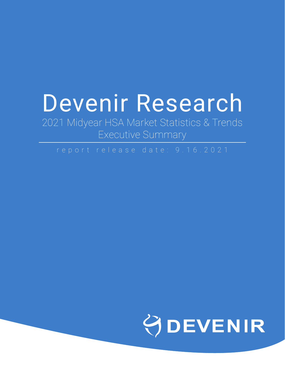# Devenir Research

2021 Midyear HSA Market Statistics & Trends Executive Summary

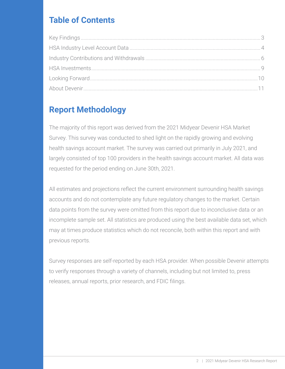# **Table of Contents**

# **Report Methodology**

The majority of this report was derived from the 2021 Midyear Devenir HSA Market Survey. This survey was conducted to shed light on the rapidly growing and evolving health savings account market. The survey was carried out primarily in July 2021, and largely consisted of top 100 providers in the health savings account market. All data was requested for the period ending on June 30th, 2021.

All estimates and projections reflect the current environment surrounding health savings accounts and do not contemplate any future regulatory changes to the market. Certain data points from the survey were omitted from this report due to inconclusive data or an incomplete sample set. All statistics are produced using the best available data set, which may at times produce statistics which do not reconcile, both within this report and with previous reports.

Survey responses are self-reported by each HSA provider. When possible Devenir attempts to verify responses through a variety of channels, including but not limited to, press releases, annual reports, prior research, and FDIC filings.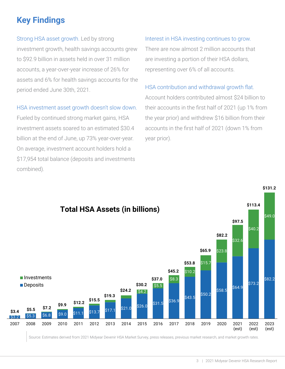# <span id="page-2-0"></span>**Key Findings**

Strong HSA asset growth. Led by strong investment growth, health savings accounts grew to \$92.9 billion in assets held in over 31 million accounts, a year-over-year increase of 26% for assets and 6% for health savings accounts for the period ended June 30th, 2021.

#### HSA investment asset growth doesn't slow down.

Fueled by continued strong market gains, HSA investment assets soared to an estimated \$30.4 billion at the end of June, up 73% year-over-year. On average, investment account holders hold a \$17,954 total balance (deposits and investments combined).

#### Interest in HSA investing continues to grow.

There are now almost 2 million accounts that are investing a portion of their HSA dollars, representing over 6% of all accounts.

#### HSA contribution and withdrawal growth flat.

Account holders contributed almost \$24 billion to their accounts in the first half of 2021 (up 1% from the year prior) and withdrew \$16 billion from their accounts in the first half of 2021 (down 1% from year prior).

**\$131.2**

**\$113.4**



Source: Estimates derived from 2021 Midyear Devenir HSA Market Survey, press releases, previous market research, and market growth rates.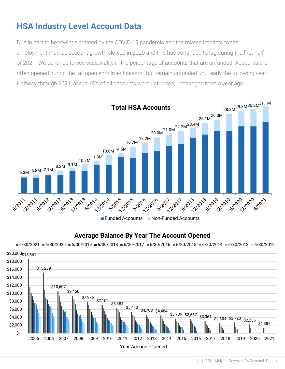# <span id="page-3-0"></span>**HSA Industry Level Account Data**

Due in part to headwinds created by the COVID-19 pandemic and the related impacts to the employment market, account growth slowed in 2020 and this has continued to lag during the first half of 2021. We continue to see seasonality in the percentage of accoUnts that are unfunded. Accounts are often opened during the fall open enrollment season, but remain unfunded until early the following year. Halfway through 2021, about 18% of all accounts were unfunded, unchanged from a year ago.



#### **Average Balance By Year The Account Opened**

 $6/30/2021$   $6/30/2020$   $6/30/2019$   $6/30/2018$   $6/30/2017$   $6/30/2016$   $6/30/2015$   $6/30/2014$   $6/30/2013$   $6/30/2012$ 

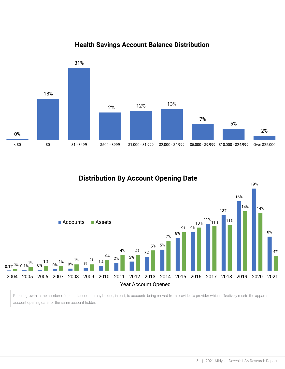

#### **Health Savings Account Balance Distribution**



Recent growth in the number of opened accounts may be due, in part, to accounts being moved from provider to provider which effectively resets the apparent account opening date for the same account holder.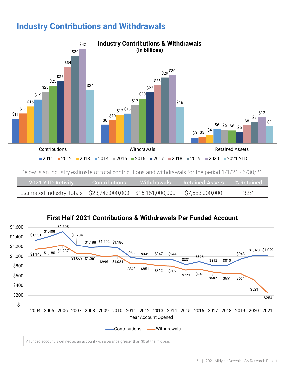<span id="page-5-0"></span>



**First Half 2021 Contributions & Withdrawals Per Funded Account**

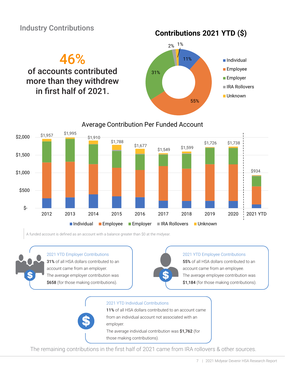### Industry Contributions

**Contributions 2021 YTD (\$)**







A funded account is defined as an account with a balance greater than \$0 at the midyear.

#### 2021 YTD Employer Contributions

31% of all HSA dollars contributed to an account came from an employer. The average employer contribution was \$658 (for those making contributions).

#### 2021 YTD Employee Contributions

55% of all HSA dollars contributed to an account came from an employee. The average employee contribution was \$1,184 (for those making contributions).



The remaining contributions in the first half of 2021 came from IRA rollovers & other sources.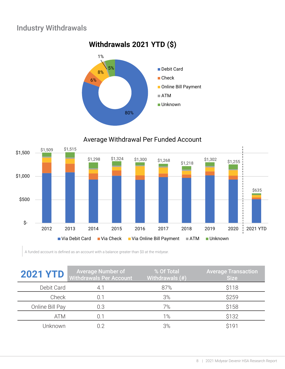## Industry Withdrawals







A funded account is defined as an account with a balance greater than \$0 at the midyear.

| <b>2021 YTD</b> | <b>Average Number of</b><br><b>Withdrawals Per Account</b> | % Of Total<br>Withdrawals (#) | <b>Average Transaction</b><br><b>Size</b> |
|-----------------|------------------------------------------------------------|-------------------------------|-------------------------------------------|
| Debit Card      |                                                            | 87%                           | \$118                                     |
| Check           |                                                            | 3%                            | \$259                                     |
| Online Bill Pay | 0.3                                                        | 7%                            | \$158                                     |
| <b>ATM</b>      |                                                            | 1%                            | \$132                                     |
| Jnknown         |                                                            | 3%                            | <b>\$191</b>                              |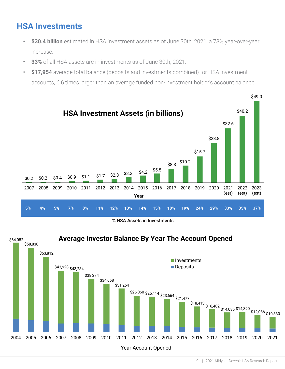# <span id="page-8-0"></span>**HSA Investments**

- **• \$30.4 billion** estimated in HSA investment assets as of June 30th, 2021, a 73% year-over-year increase.
- **• 33%** of all HSA assets are in investments as of June 30th, 2021.
- **• \$17,954** average total balance (deposits and investments combined) for HSA investment accounts, 6.6 times larger than an average funded non-investment holder's account balance.



**% HSA Assets in Investments**

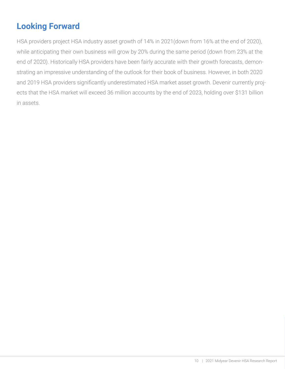# <span id="page-9-0"></span>**Looking Forward**

HSA providers project HSA industry asset growth of 14% in 2021(down from 16% at the end of 2020), while anticipating their own business will grow by 20% during the same period (down from 23% at the end of 2020). Historically HSA providers have been fairly accurate with their growth forecasts, demonstrating an impressive understanding of the outlook for their book of business. However, in both 2020 and 2019 HSA providers significantly underestimated HSA market asset growth. Devenir currently projects that the HSA market will exceed 36 million accounts by the end of 2023, holding over \$131 billion in assets.